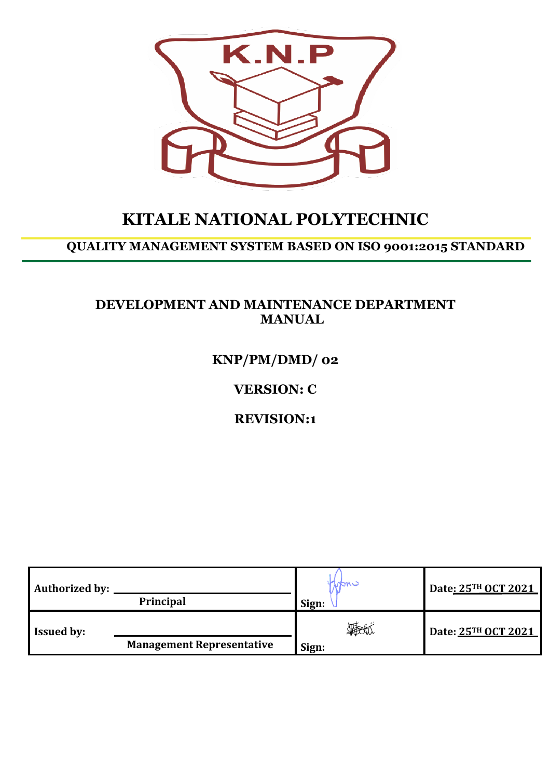

# **KITALE NATIONAL POLYTECHNIC**

## **QUALITY MANAGEMENT SYSTEM BASED ON ISO 9001:2015 STANDARD**

## **DEVELOPMENT AND MAINTENANCE DEPARTMENT MANUAL**

**KNP/PM/DMD/ 02**

**VERSION: C**

**REVISION:1**

| <b>Authorized by:</b> |                                  | John -               | Date: 25TH OCT 2021 |
|-----------------------|----------------------------------|----------------------|---------------------|
|                       | <b>Principal</b>                 | Sign:                |                     |
| <b>Issued by:</b>     |                                  | <b>The the Times</b> | Date: 25TH OCT 2021 |
|                       | <b>Management Representative</b> | Sign:                |                     |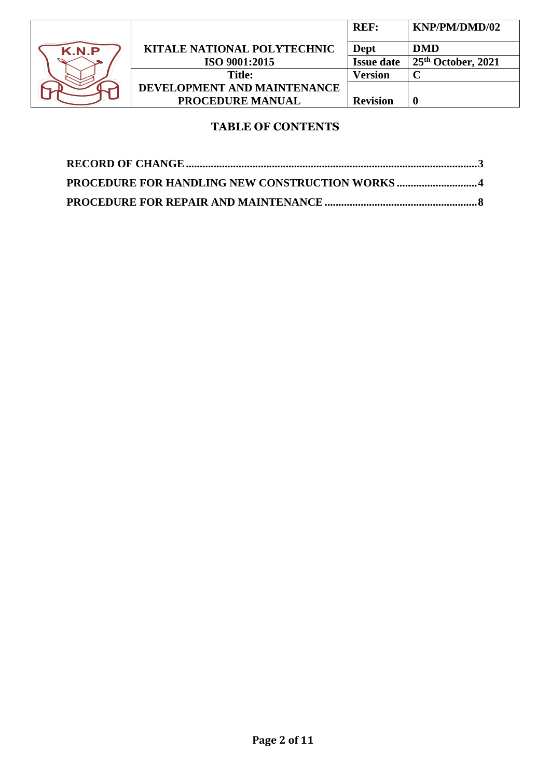

| <b>REF:</b>       | KNP/PM/DMD/02      |
|-------------------|--------------------|
| Dept              | <b>DMD</b>         |
| <b>Issue date</b> | 25th October, 2021 |
| Version           |                    |
|                   |                    |
| <b>Revision</b>   | U                  |
|                   |                    |

## **TABLE OF CONTENTS**

| PROCEDURE FOR HANDLING NEW CONSTRUCTION WORKS 4 |  |
|-------------------------------------------------|--|
|                                                 |  |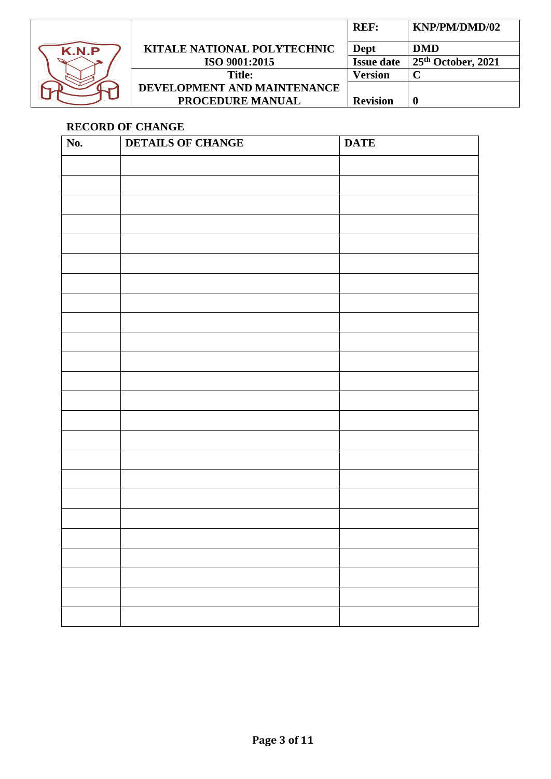

|                                    | REF:              | KNP/PM/DMD/02      |
|------------------------------------|-------------------|--------------------|
| <b>KITALE NATIONAL POLYTECHNIC</b> | Dept              | DMD                |
| ISO 9001:2015                      | <b>Issue date</b> | 25th October, 2021 |
| <b>Title:</b>                      | Version           |                    |
| DEVELOPMENT AND MAINTENANCE        |                   |                    |
| <b>PROCEDURE MANUAL</b>            | <b>Revision</b>   |                    |

## <span id="page-2-0"></span>**RECORD OF CHANGE**

| No. | <b>DETAILS OF CHANGE</b> | <b>DATE</b> |
|-----|--------------------------|-------------|
|     |                          |             |
|     |                          |             |
|     |                          |             |
|     |                          |             |
|     |                          |             |
|     |                          |             |
|     |                          |             |
|     |                          |             |
|     |                          |             |
|     |                          |             |
|     |                          |             |
|     |                          |             |
|     |                          |             |
|     |                          |             |
|     |                          |             |
|     |                          |             |
|     |                          |             |
|     |                          |             |
|     |                          |             |
|     |                          |             |
|     |                          |             |
|     |                          |             |
|     |                          |             |
|     |                          |             |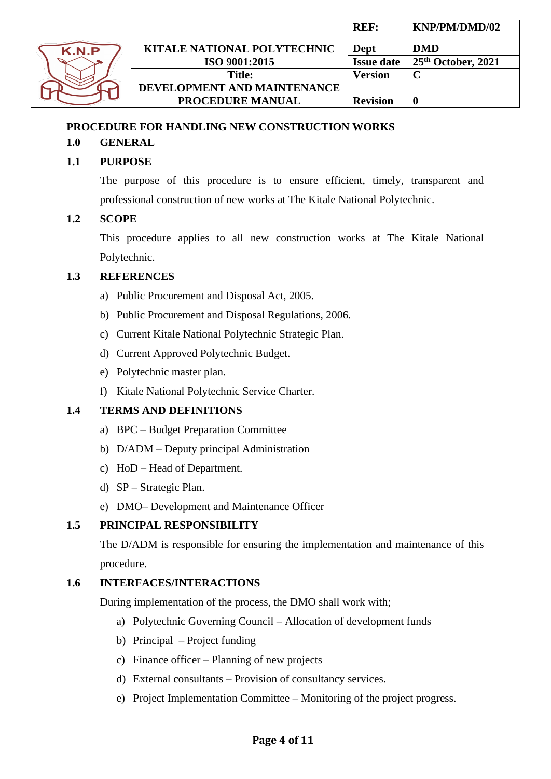

## <span id="page-3-0"></span>**PROCEDURE FOR HANDLING NEW CONSTRUCTION WORKS**

## **1.0 GENERAL**

## **1.1 PURPOSE**

The purpose of this procedure is to ensure efficient, timely, transparent and professional construction of new works at The Kitale National Polytechnic.

### **1.2 SCOPE**

This procedure applies to all new construction works at The Kitale National Polytechnic.

#### **1.3 REFERENCES**

- a) Public Procurement and Disposal Act, 2005.
- b) Public Procurement and Disposal Regulations, 2006.
- c) Current Kitale National Polytechnic Strategic Plan.
- d) Current Approved Polytechnic Budget.
- e) Polytechnic master plan.
- f) Kitale National Polytechnic Service Charter.

### **1.4 TERMS AND DEFINITIONS**

- a) BPC Budget Preparation Committee
- b) D/ADM Deputy principal Administration
- c) HoD Head of Department.
- d) SP Strategic Plan.
- e) DMO– Development and Maintenance Officer

### **1.5 PRINCIPAL RESPONSIBILITY**

The D/ADM is responsible for ensuring the implementation and maintenance of this procedure.

#### **1.6 INTERFACES/INTERACTIONS**

During implementation of the process, the DMO shall work with;

- a) Polytechnic Governing Council Allocation of development funds
- b) Principal Project funding
- c) Finance officer Planning of new projects
- d) External consultants Provision of consultancy services.
- e) Project Implementation Committee Monitoring of the project progress.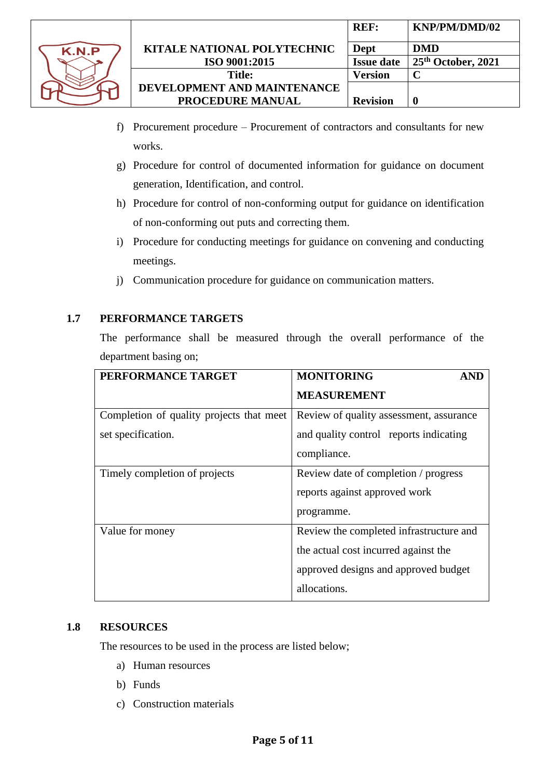

- f) Procurement procedure Procurement of contractors and consultants for new works.
- g) Procedure for control of documented information for guidance on document generation, Identification, and control.
- h) Procedure for control of non-conforming output for guidance on identification of non-conforming out puts and correcting them.
- i) Procedure for conducting meetings for guidance on convening and conducting meetings.
- j) Communication procedure for guidance on communication matters.

## **1.7 PERFORMANCE TARGETS**

The performance shall be measured through the overall performance of the department basing on;

| PERFORMANCE TARGET                       | <b>MONITORING</b><br><b>AND</b>         |
|------------------------------------------|-----------------------------------------|
|                                          | <b>MEASUREMENT</b>                      |
| Completion of quality projects that meet | Review of quality assessment, assurance |
| set specification.                       | and quality control reports indicating  |
|                                          | compliance.                             |
| Timely completion of projects            | Review date of completion / progress    |
|                                          | reports against approved work           |
|                                          | programme.                              |
| Value for money                          | Review the completed infrastructure and |
|                                          | the actual cost incurred against the    |
|                                          | approved designs and approved budget    |
|                                          | allocations.                            |

### **1.8 RESOURCES**

The resources to be used in the process are listed below;

- a) Human resources
- b) Funds
- c) Construction materials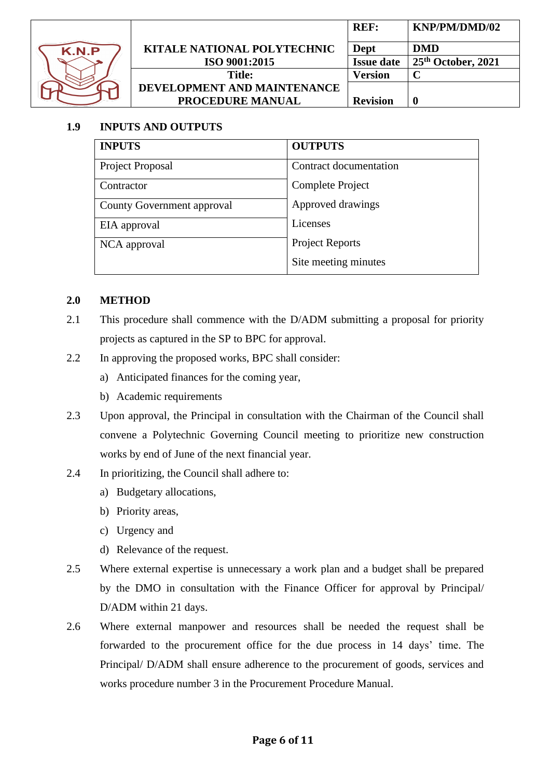

|                                    | <b>REF:</b>       | KNP/PM/DMD/02        |
|------------------------------------|-------------------|----------------------|
| <b>KITALE NATIONAL POLYTECHNIC</b> | Dept              | <b>DMD</b>           |
| ISO 9001:2015                      | <b>Issue date</b> | $25th$ October, 2021 |
| <b>Title:</b>                      | Version           |                      |
| DEVELOPMENT AND MAINTENANCE        |                   |                      |
| PROCEDURE MANUAL                   | <b>Revision</b>   |                      |

## **1.9 INPUTS AND OUTPUTS**

| <b>INPUTS</b>              | <b>OUTPUTS</b>         |
|----------------------------|------------------------|
| Project Proposal           | Contract documentation |
| Contractor                 | Complete Project       |
| County Government approval | Approved drawings      |
| EIA approval               | Licenses               |
| NCA approval               | <b>Project Reports</b> |
|                            | Site meeting minutes   |

### **2.0 METHOD**

- 2.1 This procedure shall commence with the D/ADM submitting a proposal for priority projects as captured in the SP to BPC for approval.
- 2.2 In approving the proposed works, BPC shall consider:
	- a) Anticipated finances for the coming year,
	- b) Academic requirements
- 2.3 Upon approval, the Principal in consultation with the Chairman of the Council shall convene a Polytechnic Governing Council meeting to prioritize new construction works by end of June of the next financial year.
- 2.4 In prioritizing, the Council shall adhere to:
	- a) Budgetary allocations,
	- b) Priority areas,
	- c) Urgency and
	- d) Relevance of the request.
- 2.5 Where external expertise is unnecessary a work plan and a budget shall be prepared by the DMO in consultation with the Finance Officer for approval by Principal/ D/ADM within 21 days.
- 2.6 Where external manpower and resources shall be needed the request shall be forwarded to the procurement office for the due process in 14 days' time. The Principal/ D/ADM shall ensure adherence to the procurement of goods, services and works procedure number 3 in the Procurement Procedure Manual.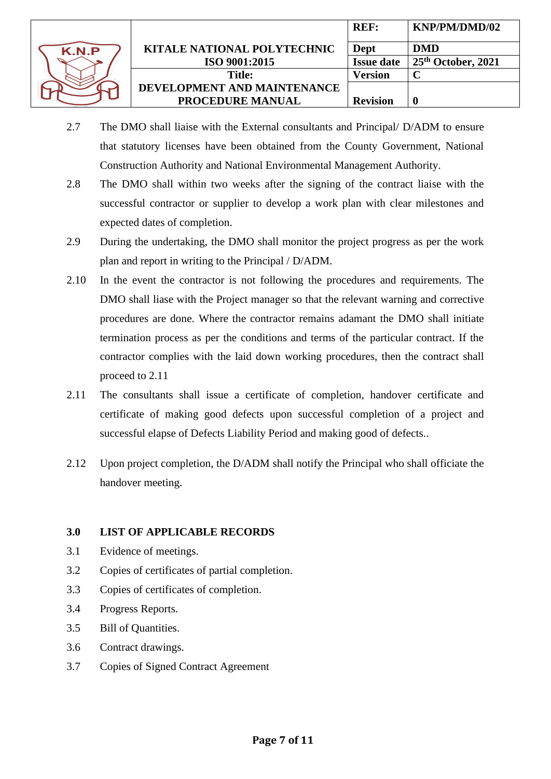

|                                    | <b>REF:</b>       | KNP/PM/DMD/02      |
|------------------------------------|-------------------|--------------------|
| <b>KITALE NATIONAL POLYTECHNIC</b> | Dept              | <b>DMD</b>         |
| ISO 9001:2015                      | <b>Issue date</b> | 25th October, 2021 |
| Title:                             | Version           |                    |
| DEVELOPMENT AND MAINTENANCE        |                   |                    |
| <b>PROCEDURE MANUAL</b>            | <b>Revision</b>   | O                  |

- 2.7 The DMO shall liaise with the External consultants and Principal/ D/ADM to ensure that statutory licenses have been obtained from the County Government, National Construction Authority and National Environmental Management Authority.
- 2.8 The DMO shall within two weeks after the signing of the contract liaise with the successful contractor or supplier to develop a work plan with clear milestones and expected dates of completion.
- 2.9 During the undertaking, the DMO shall monitor the project progress as per the work plan and report in writing to the Principal / D/ADM.
- 2.10 In the event the contractor is not following the procedures and requirements. The DMO shall liase with the Project manager so that the relevant warning and corrective procedures are done. Where the contractor remains adamant the DMO shall initiate termination process as per the conditions and terms of the particular contract. If the contractor complies with the laid down working procedures, then the contract shall proceed to 2.11
- 2.11 The consultants shall issue a certificate of completion, handover certificate and certificate of making good defects upon successful completion of a project and successful elapse of Defects Liability Period and making good of defects..
- 2.12 Upon project completion, the D/ADM shall notify the Principal who shall officiate the handover meeting.

## **3.0 LIST OF APPLICABLE RECORDS**

- 3.1 Evidence of meetings.
- 3.2 Copies of certificates of partial completion.
- 3.3 Copies of certificates of completion.
- 3.4 Progress Reports.
- 3.5 Bill of Quantities.
- 3.6 Contract drawings.
- 3.7 Copies of Signed Contract Agreement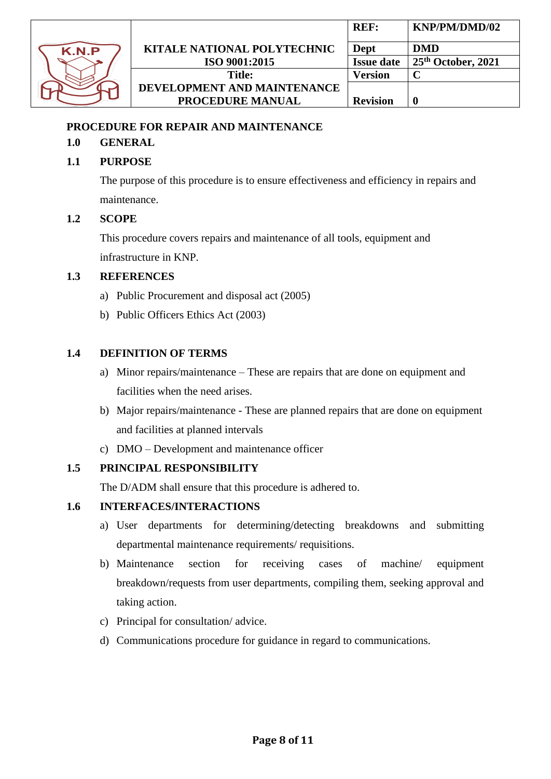

## <span id="page-7-0"></span>**PROCEDURE FOR REPAIR AND MAINTENANCE**

## **1.0 GENERAL**

## **1.1 PURPOSE**

The purpose of this procedure is to ensure effectiveness and efficiency in repairs and maintenance.

#### **1.2 SCOPE**

This procedure covers repairs and maintenance of all tools, equipment and infrastructure in KNP.

#### **1.3 REFERENCES**

- a) Public Procurement and disposal act (2005)
- b) Public Officers Ethics Act (2003)

### **1.4 DEFINITION OF TERMS**

- a) Minor repairs/maintenance These are repairs that are done on equipment and facilities when the need arises.
- b) Major repairs/maintenance These are planned repairs that are done on equipment and facilities at planned intervals
- c) DMO Development and maintenance officer

### **1.5 PRINCIPAL RESPONSIBILITY**

The D/ADM shall ensure that this procedure is adhered to.

## **1.6 INTERFACES/INTERACTIONS**

- a) User departments for determining/detecting breakdowns and submitting departmental maintenance requirements/ requisitions.
- b) Maintenance section for receiving cases of machine/ equipment breakdown/requests from user departments, compiling them, seeking approval and taking action.
- c) Principal for consultation/ advice.
- d) Communications procedure for guidance in regard to communications.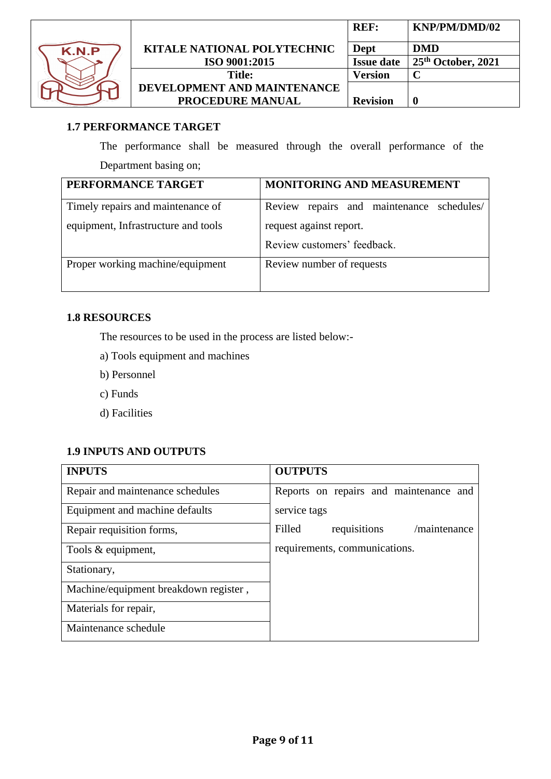

|                                    | <b>REF:</b>       | KNP/PM/DMD/02      |
|------------------------------------|-------------------|--------------------|
| <b>KITALE NATIONAL POLYTECHNIC</b> | Dept              | <b>DMD</b>         |
| ISO 9001:2015                      | <b>Issue date</b> | 25th October, 2021 |
| <b>Title:</b>                      | Version           |                    |
| DEVELOPMENT AND MAINTENANCE        |                   |                    |
| PROCEDURE MANUAL                   | <b>Revision</b>   |                    |

## **1.7 PERFORMANCE TARGET**

The performance shall be measured through the overall performance of the Department basing on;

| PERFORMANCE TARGET                  | MONITORING AND MEASUREMENT                |
|-------------------------------------|-------------------------------------------|
| Timely repairs and maintenance of   | Review repairs and maintenance schedules/ |
| equipment, Infrastructure and tools | request against report.                   |
|                                     | Review customers' feedback.               |
| Proper working machine/equipment    | Review number of requests                 |

## **1.8 RESOURCES**

The resources to be used in the process are listed below:-

- a) Tools equipment and machines
- b) Personnel
- c) Funds
- d) Facilities

## **1.9 INPUTS AND OUTPUTS**

| <b>INPUTS</b>                         | <b>OUTPUTS</b>                         |
|---------------------------------------|----------------------------------------|
| Repair and maintenance schedules      | Reports on repairs and maintenance and |
| Equipment and machine defaults        | service tags                           |
| Repair requisition forms,             | Filled<br>/maintenance<br>requisitions |
| Tools & equipment,                    | requirements, communications.          |
| Stationary,                           |                                        |
| Machine/equipment breakdown register, |                                        |
| Materials for repair,                 |                                        |
| Maintenance schedule                  |                                        |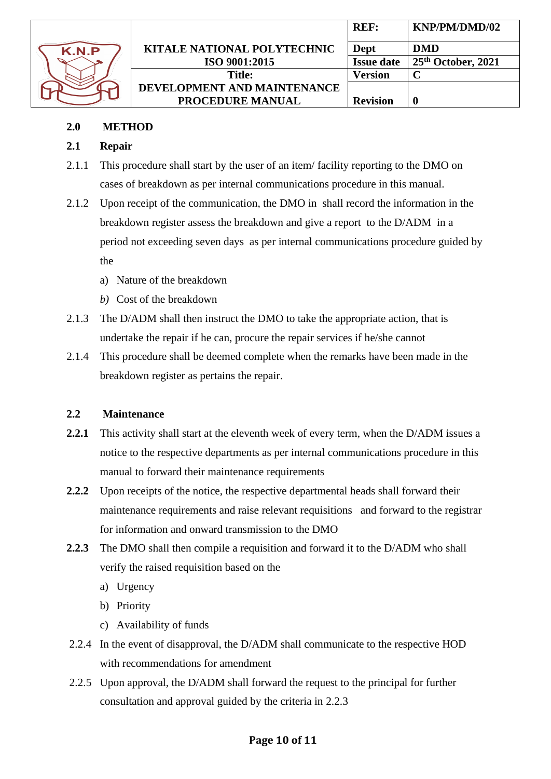

|                                    | <b>REF:</b>       | KNP/PM/DMD/02        |
|------------------------------------|-------------------|----------------------|
| <b>KITALE NATIONAL POLYTECHNIC</b> | Dept              | <b>DMD</b>           |
| ISO 9001:2015                      | <b>Issue date</b> | $25th$ October, 2021 |
| <b>Title:</b>                      | Version           |                      |
| DEVELOPMENT AND MAINTENANCE        |                   |                      |
| PROCEDURE MANUAL                   | <b>Revision</b>   |                      |

## **2.0 METHOD**

## **2.1 Repair**

- 2.1.1 This procedure shall start by the user of an item/ facility reporting to the DMO on cases of breakdown as per internal communications procedure in this manual.
- 2.1.2 Upon receipt of the communication, the DMO in shall record the information in the breakdown register assess the breakdown and give a report to the D/ADM in a period not exceeding seven days as per internal communications procedure guided by the
	- a) Nature of the breakdown
	- *b)* Cost of the breakdown
- 2.1.3 The D/ADM shall then instruct the DMO to take the appropriate action, that is undertake the repair if he can, procure the repair services if he/she cannot
- 2.1.4 This procedure shall be deemed complete when the remarks have been made in the breakdown register as pertains the repair.

## **2.2 Maintenance**

- **2.2.1** This activity shall start at the eleventh week of every term, when the D/ADM issues a notice to the respective departments as per internal communications procedure in this manual to forward their maintenance requirements
- **2.2.2** Upon receipts of the notice, the respective departmental heads shall forward their maintenance requirements and raise relevant requisitions and forward to the registrar for information and onward transmission to the DMO
- **2.2.3** The DMO shall then compile a requisition and forward it to the D/ADM who shall verify the raised requisition based on the
	- a) Urgency
	- b) Priority
	- c) Availability of funds
- 2.2.4 In the event of disapproval, the D/ADM shall communicate to the respective HOD with recommendations for amendment
- 2.2.5 Upon approval, the D/ADM shall forward the request to the principal for further consultation and approval guided by the criteria in 2.2.3

## **Page 10 of 11**